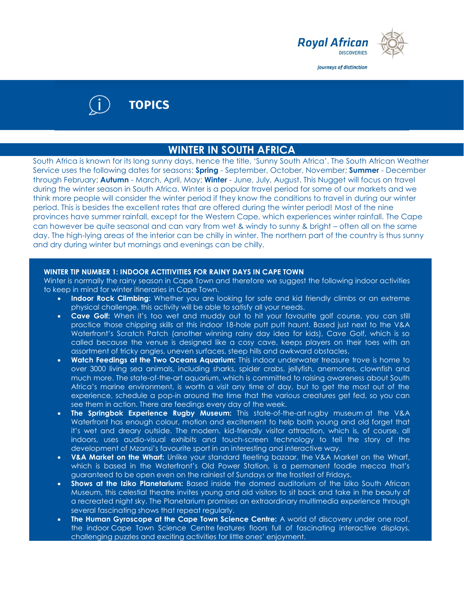

Journeys of distinction



**TOPICS** 

# **WINTER IN SOUTH AFRICA**

South Africa is known for its long sunny days, hence the title, 'Sunny South Africa'. The South African Weather Service uses the following dates for seasons: **Spring** - September, October, November; **Summer** - December through February; **Autumn** - March, April, May; **Winter** - June, July, August. This Nugget will focus on travel during the winter season in South Africa. Winter is a popular travel period for some of our markets and we think more people will consider the winter period if they know the conditions to travel in during our winter period. This is besides the excellent rates that are offered during the winter period! Most of the nine provinces have summer rainfall, except for the Western Cape, which experiences winter rainfall. The Cape can however be quite seasonal and can vary from wet & windy to sunny & bright – often all on the same day. The high-lying areas of the interior can be chilly in winter. The northern part of the country is thus sunny and dry during winter but mornings and evenings can be chilly.

## **WINTER TIP NUMBER 1: INDOOR ACTITIVITIES FOR RAINY DAYS IN CAPE TOWN**

Winter is normally the rainy season in Cape Town and therefore we suggest the following indoor activities to keep in mind for winter itineraries in Cape Town.

- **Indoor Rock Climbing:** Whether you are looking for safe and kid friendly climbs or an extreme physical challenge, this activity will be able to satisfy all your needs.
- **Cave Golf:** When it's too wet and muddy out to hit your favourite golf course, you can still practice those chipping skills at this indoor 18-hole putt putt haunt. Based just next to the V&A Waterfront's Scratch Patch (another winning rainy day idea for kids), Cave Golf, which is so called because the venue is designed like a cosy cave, keeps players on their toes with an assortment of tricky angles, uneven surfaces, steep hills and awkward obstacles.
- **Watch Feedings at the Two Oceans Aquarium:** This indoor underwater treasure trove is home to over 3000 living sea animals, including sharks, spider crabs, jellyfish, anemones, clownfish and much more. The state-of-the-art aquarium, which is committed to raising awareness about South Africa's marine environment, is worth a visit any time of day, but to get the most out of the experience, schedule a pop-in around the time that the various creatures get fed, so you can see them in action. There are feedings every day of the week.
- **The Springbok Experience Rugby Museum:** This state-of-the-art rugby museum at the V&A Waterfront has enough colour, motion and excitement to help both young and old forget that it's wet and dreary outside. The modern, kid-friendly visitor attraction, which is, of course, all indoors, uses audio-visual exhibits and touch-screen technology to tell the story of the development of Mzansi's favourite sport in an interesting and interactive way.
- **V&A Market on the Wharf:** Unlike your standard fleeting bazaar, the V&A Market on the Wharf, which is based in the Waterfront's Old Power Station, is a permanent foodie mecca that's guaranteed to be open even on the rainiest of Sundays or the frostiest of Fridays.
- **Shows at the Iziko Planetarium:** Based inside the domed auditorium of the Iziko South African Museum, this celestial theatre invites young and old visitors to sit back and take in the beauty of a recreated night sky. The Planetarium promises an extraordinary multimedia experience through several fascinating shows that repeat regularly.
- **The Human Gyroscope at the Cape Town Science Centre:** A world of discovery under one roof, the indoor Cape Town Science Centre features floors full of fascinating interactive displays, challenging puzzles and exciting activities for little ones' enjoyment.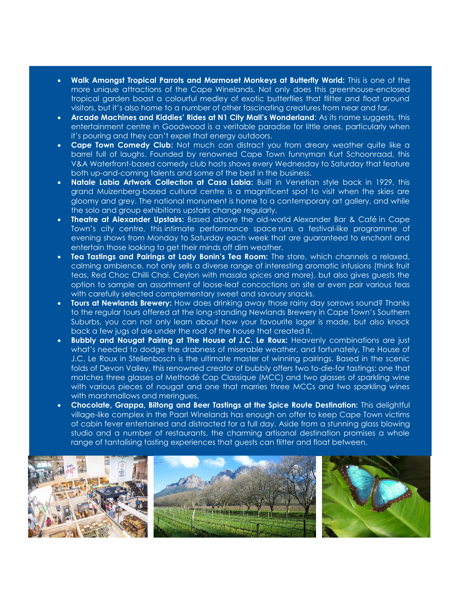- **Walk Amongst Tropical Parrots and Marmoset Monkeys at Butterfly World:** This is one of the more unique attractions of the Cape Winelands. Not only does this greenhouse-enclosed tropical garden boast a colourful medley of exotic butterflies that flitter and float around visitors, but it's also home to a number of other fascinating creatures from near and far.
- **Arcade Machines and Kiddies' Rides at N1 City Mall's Wonderland**: As its name suggests, this entertainment centre in Goodwood is a veritable paradise for little ones, particularly when it's pouring and they can't expel that energy outdoors.
- **Cape Town Comedy Club:** Not much can distract you from dreary weather quite like a barrel full of laughs. Founded by renowned Cape Town funnyman Kurt Schoonraad, this V&A Waterfront-based comedy club hosts shows every Wednesday to Saturday that feature both up-and-coming talents and some of the best in the business.
- **Natale Labia Artwork Collection at Casa Labia:** Built in Venetian style back in 1929, this grand Muizenberg-based cultural centre is a magnificent spot to visit when the skies are gloomy and grey. The national monument is home to a contemporary art gallery, and while the solo and group exhibitions upstairs change regularly.
- **Theatre at Alexander Upstairs:** Based above the old-world Alexander Bar & Café in Cape Town's city centre, this intimate performance space runs a festival-like programme of evening shows from Monday to Saturday each week that are guaranteed to enchant and entertain those looking to get their minds off dim weather.
- **Tea Tastings and Pairings at Lady Bonin's Tea Room:** The store, which channels a relaxed, calming ambience, not only sells a diverse range of interesting aromatic infusions (think fruit teas, Red Choc Chilli Chai, Ceylon with masala spices and more), but also gives guests the option to sample an assortment of loose-leaf concoctions on site or even pair various teas with carefully selected complementary sweet and savoury snacks.
- **Tours at Newlands Brewery:** How does drinking away those rainy day sorrows sound? Thanks to the regular tours offered at the long-standing Newlands Brewery in Cape Town's Southern Suburbs, you can not only learn about how your favourite lager is made, but also knock back a few jugs of ale under the roof of the house that created it.
- **Bubbly and Nougat Pairing at The House of J.C. Le Roux:** Heavenly combinations are just what's needed to dodge the drabness of miserable weather, and fortunately, The House of J.C. Le Roux in Stellenbosch is the ultimate master of winning pairings. Based in the scenic folds of Devon Valley, this renowned creator of bubbly offers two to-die-for tastings: one that matches three glasses of Methodé Cap Classique (MCC) and two glasses of sparkling wine with various pieces of nougat and one that marries three MCCs and two sparkling wines with marshmallows and meringues.
- **Chocolate, Grappa, Biltong and Beer Tastings at the Spice Route Destination:** This delightful village-like complex in the Paarl Winelands has enough on offer to keep Cape Town victims of cabin fever entertained and distracted for a full day. Aside from a stunning glass blowing studio and a number of restaurants, the charming artisanal destination promises a whole range of tantalising tasting experiences that guests can flitter and float between.

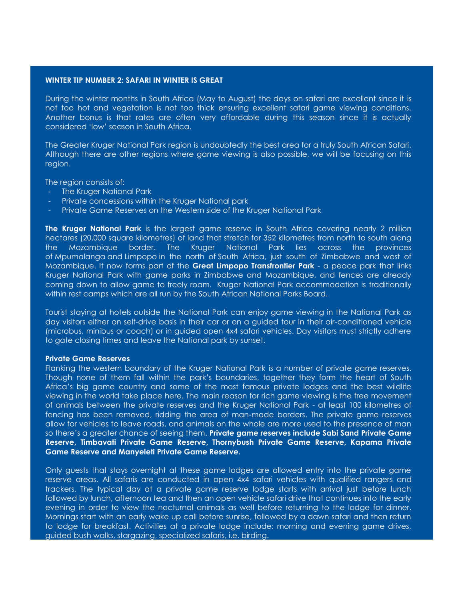### **WINTER TIP NUMBER 2: SAFARI IN WINTER IS GREAT**

During the winter months in South Africa (May to August) the days on safari are excellent since it is not too hot and vegetation is not too thick ensuring excellent safari game viewing conditions. Another bonus is that rates are often very affordable during this season since it is actually considered 'low' season in South Africa.

The Greater Kruger National Park region is undoubtedly the best area for a truly South African Safari. Although there are other regions where game viewing is also possible, we will be focusing on this region.

The region consists of:

- The Kruger National Park
- Private concessions within the Kruger National park
- Private Game Reserves on the Western side of the Kruger National Park

**The Kruger National Park** is the largest game reserve in South Africa covering nearly 2 million hectares (20,000 square kilometres) of land that stretch for 352 kilometres from north to south along the Mozambique border. The Kruger National Park lies across the provinces of Mpumalanga and Limpopo in the north of South Africa, just south of Zimbabwe and west of Mozambique. It now forms part of the **Great Limpopo Transfrontier Park** - a peace park that links Kruger National Park with game parks in Zimbabwe and Mozambique, and fences are already coming down to allow game to freely roam. Kruger National Park accommodation is traditionally within rest camps which are all run by the South African National Parks Board.

Tourist staying at hotels outside the National Park can enjoy game viewing in the National Park as day visitors either on self-drive basis in their car or on a guided tour in their air-conditioned vehicle (microbus, minibus or coach) or in guided open 4x4 safari vehicles. Day visitors must strictly adhere to gate closing times and leave the National park by sunset.

#### **Private Game Reserves**

Flanking the western boundary of the Kruger National Park is a number of private game reserves. Though none of them fall within the park's boundaries, together they form the heart of South Africa's big game country and some of the most famous private lodges and the best wildlife viewing in the world take place here. The main reason for rich game viewing is the free movement of animals between the private reserves and the Kruger National Park - at least 100 kilometres of fencing has been removed, ridding the area of man-made borders. The private game reserves allow for vehicles to leave roads, and animals on the whole are more used to the presence of man so there's a greater chance of seeing them. **Private game reserves include Sabi Sand Private Game Reserve, Timbavati Private Game Reserve, Thornybush Private Game Reserve, Kapama Private Game Reserve and Manyeleti Private Game Reserve.**

Only guests that stays overnight at these game lodges are allowed entry into the private game reserve areas. All safaris are conducted in open 4x4 safari vehicles with qualified rangers and trackers. The typical day at a private game reserve lodge starts with arrival just before lunch followed by lunch, afternoon tea and then an open vehicle safari drive that continues into the early evening in order to view the nocturnal animals as well before returning to the lodge for dinner. Mornings start with an early wake up call before sunrise, followed by a dawn safari and then return to lodge for breakfast. Activities at a private lodge include: morning and evening game drives, guided bush walks, stargazing, specialized safaris, i.e. birding.